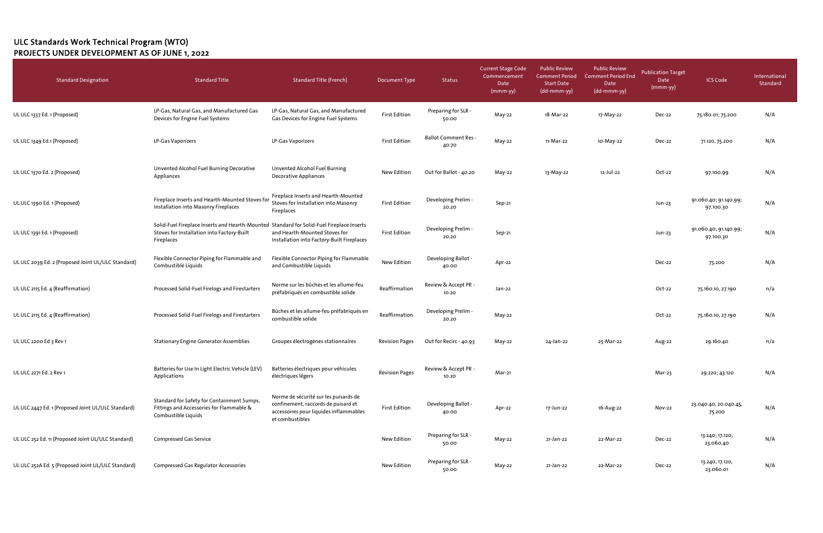| <b>Standard Designation</b>                        | <b>Standard Title</b>                                                                                                                                 | <b>Standard Title (French)</b>                                                                                                            | Document Type         | Status                               | Current Stage Code<br>Commencement<br>Date<br>$(mmm-yy)$ | <b>Public Review</b><br><b>Comment Period</b><br><b>Start Date</b><br>(dd-mmm-yy) | <b>Public Review</b><br><b>Comment Period End</b><br>Date<br>(dd-mmm-yy) | Publication Target<br>Date<br>$(mmm-yy)$ | <b>ICS Code</b>                    | International<br>Standard |
|----------------------------------------------------|-------------------------------------------------------------------------------------------------------------------------------------------------------|-------------------------------------------------------------------------------------------------------------------------------------------|-----------------------|--------------------------------------|----------------------------------------------------------|-----------------------------------------------------------------------------------|--------------------------------------------------------------------------|------------------------------------------|------------------------------------|---------------------------|
| UL ULC 1337 Ed. 1 (Proposed)                       | LP-Gas, Natural Gas, and Manufactured Gas<br>Devices for Engine Fuel Systems                                                                          | LP-Gas, Natural Gas, and Manufactured<br>Gas Devices for Engine Fuel Systems                                                              | <b>First Edition</b>  | Preparing for SLR -<br>50.00         | May-22                                                   | 18-Mar-22                                                                         | 17-May-22                                                                | Dec-22                                   | 75.180.01; 75.200                  | N/A                       |
| UL ULC 1349 Ed.1 (Proposed)                        | LP-Gas Vaporizers                                                                                                                                     | LP-Gas Vaporizers                                                                                                                         | <b>First Edition</b>  | <b>Ballot Comment Res -</b><br>40.70 | May-22                                                   | 11-Mar-22                                                                         | 10-May-22                                                                | Dec-22                                   | 71.120, 75.200                     | N/A                       |
| UL ULC 1370 Ed. 2 (Proposed)                       | Unvented Alcohol Fuel Burning Decorative<br>Appliances                                                                                                | Unvented Alcohol Fuel Burning<br><b>Decorative Appliances</b>                                                                             | New Edition           | Out for Ballot - 40.20               | May-22                                                   | 13-May-22                                                                         | 12-Jul-22                                                                | Oct-22                                   | 97.100.99                          | N/A                       |
| UL ULC 1390 Ed. 1 (Proposed)                       | Fireplace Inserts and Hearth-Mounted Stoves for<br>Installation into Masonry Fireplaces                                                               | Fireplace Inserts and Hearth-Mounted<br>Stoves for Installation into Masonry<br>Fireplaces                                                | <b>First Edition</b>  | Developing Prelim -<br>20.20         | Sep-21                                                   |                                                                                   |                                                                          | Jun-23                                   | 91.060.40; 91.140.99;<br>97.100.30 | N/A                       |
| UL ULC 1391 Ed. 1 (Proposed)                       | Solid-Fuel Fireplace Inserts and Hearth-Mounted Standard for Solid-Fuel Fireplace Inserts<br>Stoves for Installation into Factory-Built<br>Fireplaces | and Hearth-Mounted Stoves for<br>Installation into Factory-Built Fireplaces                                                               | <b>First Edition</b>  | Developing Prelim -<br>20.20         | Sep-21                                                   |                                                                                   |                                                                          | Jun-23                                   | 91.060.40; 91.140.99;<br>97.100.30 | N/A                       |
| UL ULC 2039 Ed. 2 (Proposed Joint UL/ULC Standard) | Flexible Connector Piping for Flammable and<br>Combustible Liquids                                                                                    | Flexible Connector Piping for Flammable<br>and Combustible Liquids                                                                        | New Edition           | Developing Ballot -<br>40.00         | Apr-22                                                   |                                                                                   |                                                                          | Dec-22                                   | 75.200                             | N/A                       |
| UL ULC 2115 Ed. 4 (Reaffirmation)                  | Processed Solid-Fuel Firelogs and Firestarters                                                                                                        | Norme sur les bûches et les allume-feu<br>préfabriqués en combustible solide                                                              | Reaffirmation         | Review & Accept PR -<br>10.20        | Jan-22                                                   |                                                                                   |                                                                          | Oct-22                                   | 75.160.10, 27.190                  | n/a                       |
| UL ULC 2115 Ed. 4 (Reaffirmation)                  | Processed Solid-Fuel Firelogs and Firestarters                                                                                                        | Bûches et les allume-feu préfabriqués en<br>combustible solide                                                                            | Reaffirmation         | Developing Prelim -<br>20.20         | May-22                                                   |                                                                                   |                                                                          | Oct-22                                   | 75.160.10, 27.190                  | N/A                       |
| UL ULC 2200 Ed 3 Rev 1                             | <b>Stationary Engine Generator Assemblies</b>                                                                                                         | Groupes électrogènes stationnaires                                                                                                        | <b>Revision Pages</b> | Out for Recirc - 40.93               | $May-22$                                                 | 24-Jan-22                                                                         | 25-Mar-22                                                                | Aug-22                                   | 29.160.40                          | n/a                       |
| UL ULC 2271 Ed. 2 Rev 1                            | Batteries for Use In Light Electric Vehicle (LEV)<br>Applications                                                                                     | Batteries électriques pour véhicules<br>électriques légers                                                                                | <b>Revision Pages</b> | Review & Accept PR -<br>10.20        | Mar-21                                                   |                                                                                   |                                                                          | Mar-23                                   | 29.220; 43.120                     | N/A                       |
| UL ULC 2447 Ed. 1 (Proposed Joint UL/ULC Standard) | Standard for Safety for Containment Sumps,<br>Fittings and Accessories for Flammable &<br>Combustible Liquids                                         | Norme de sécurité sur les puisards de<br>confinement, raccords de puisard et<br>accessoires pour liquides inflammables<br>et combustibles | <b>First Edition</b>  | Developing Ballot -<br>40.00         | Apr-22                                                   | 17-Jun-22                                                                         | 16-Aug-22                                                                | Nov-22                                   | 23.040.40, 20.040.45,<br>75.200    | N/A                       |
| UL ULC 252 Ed. 11 (Proposed Joint UL/ULC Standard) | <b>Compressed Gas Service</b>                                                                                                                         |                                                                                                                                           | New Edition           | Preparing for SLR -<br>50.00         | May-22                                                   | 21-Jan-22                                                                         | 22-Mar-22                                                                | Dec-22                                   | 13.240; 17.120;<br>23.060.40       | N/A                       |
| UL ULC 252A Ed. 5 (Proposed Joint UL/ULC Standard) | <b>Compressed Gas Regulator Accessories</b>                                                                                                           |                                                                                                                                           | New Edition           | Preparing for SLR -<br>50.00         | May-22                                                   | 21-Jan-22                                                                         | 22-Mar-22                                                                | Dec-22                                   | 13.240, 17.120,<br>23.060.01       | N/A                       |

## ULC Standards Work Technical Program (WTO) PROJECTS UNDER DEVELOPMENT AS OF JUNE 1, 2022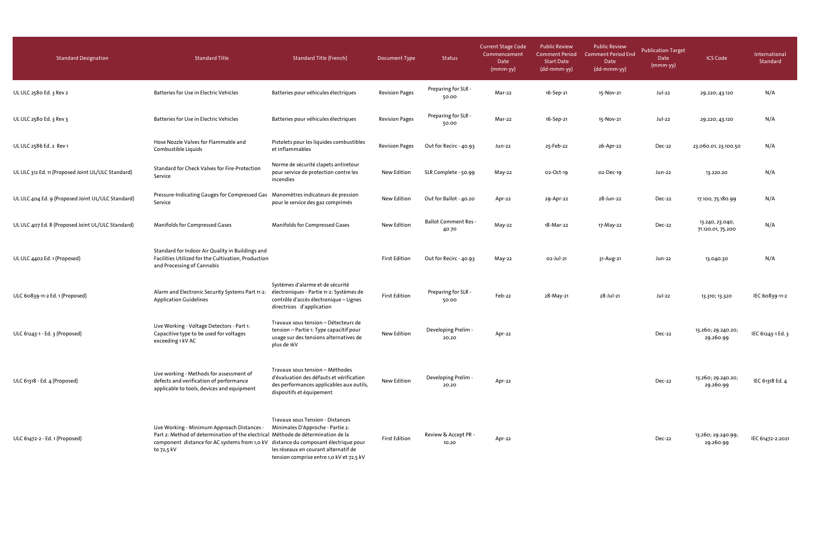| <b>Standard Designation</b>                        | <b>Standard Title</b>                                                                                                                                                                                                                | <b>Standard Title (French)</b>                                                                                                                                  | <b>Document Type</b>  | <b>Status</b>                        | <b>Current Stage Code</b><br>Commencement<br>Date<br>$(mmm-yy)$ | <b>Public Review</b><br><b>Comment Period</b><br><b>Start Date</b><br>(dd-mmm-yy) | <b>Public Review</b><br><b>Comment Period End</b><br>Date<br>(dd-mmm-yy) | <b>Publication Target</b><br>Date<br>$(mmm-yy)$ | <b>ICS Code</b>                      | International<br>Standard |
|----------------------------------------------------|--------------------------------------------------------------------------------------------------------------------------------------------------------------------------------------------------------------------------------------|-----------------------------------------------------------------------------------------------------------------------------------------------------------------|-----------------------|--------------------------------------|-----------------------------------------------------------------|-----------------------------------------------------------------------------------|--------------------------------------------------------------------------|-------------------------------------------------|--------------------------------------|---------------------------|
| UL ULC 2580 Ed. 3 Rev 2                            | Batteries for Use in Electric Vehicles                                                                                                                                                                                               | Batteries pour véhicules électriques                                                                                                                            | <b>Revision Pages</b> | Preparing for SLR -<br>50.00         | Mar-22                                                          | 16-Sep-21                                                                         | 15-Nov-21                                                                | Jul-22                                          | 29.220; 43.120                       | N/A                       |
| UL ULC 2580 Ed. 3 Rev 3                            | Batteries for Use in Electric Vehicles                                                                                                                                                                                               | Batteries pour véhicules électriques                                                                                                                            | <b>Revision Pages</b> | Preparing for SLR -<br>50.00         | Mar-22                                                          | 16-Sep-21                                                                         | 15-Nov-21                                                                | Jul-22                                          | 29.220; 43.120                       | N/A                       |
| UL ULC 2586 Ed. 2 Rev 1                            | Hose Nozzle Valves for Flammable and<br>Combustible Liquids                                                                                                                                                                          | Pistolets pour les liquides combustibles<br>et inflammables                                                                                                     | <b>Revision Pages</b> | Out for Recirc - 40.93               | Jun-22                                                          | 25-Feb-22                                                                         | 26-Apr-22                                                                | Dec-22                                          | 23.060.01, 23.100.50                 | N/A                       |
| UL ULC 312 Ed. 11 (Proposed Joint UL/ULC Standard) | Standard for Check Valves for Fire-Protection<br>Service                                                                                                                                                                             | Norme de sécurité clapets antiretour<br>pour service de protection contre les<br>incendies                                                                      | <b>New Edition</b>    | SLR Complete - 50.99                 | May-22                                                          | 02-Oct-19                                                                         | 02-Dec-19                                                                | Jun-22                                          | 13.220.20                            | N/A                       |
| UL ULC 404 Ed. 9 (Proposed Joint UL/ULC Standard)  | Pressure-Indicating Gauges for Compressed Gas  Manomètres indicateurs de pression<br>Service                                                                                                                                         | pour le service des gaz comprimés                                                                                                                               | New Edition           | Out for Ballot - 40.20               | Apr-22                                                          | 29-Apr-22                                                                         | 28-Jun-22                                                                | Dec-22                                          | 17.100, 75.180.99                    | N/A                       |
| UL ULC 407 Ed. 8 (Proposed Joint UL/ULC Standard)  | Manifolds for Compressed Gases                                                                                                                                                                                                       | Manifolds for Compressed Gases                                                                                                                                  | New Edition           | <b>Ballot Comment Res -</b><br>40.70 | May-22                                                          | 18-Mar-22                                                                         | 17-May-22                                                                | Dec-22                                          | 13.240, 23.040,<br>71.120.01, 75.200 | N/A                       |
| UL ULC 4402 Ed. 1 (Proposed)                       | Standard for Indoor Air Quality in Buildings and<br>Facilities Utilized for the Cultivation, Production<br>and Processing of Cannabis                                                                                                |                                                                                                                                                                 | <b>First Edition</b>  | Out for Recirc - 40.93               | May-22                                                          | 02-Jul-21                                                                         | 31-Aug-21                                                                | Jun-22                                          | 13.040.30                            | N/A                       |
| ULC 60839-11-2 Ed. 1 (Proposed)                    | Alarm and Electronic Security Systems Part 11-2:<br><b>Application Guidelines</b>                                                                                                                                                    | Systèmes d'alarme et de sécurité<br>électroniques - Partie 11-2: Systèmes de<br>contrôle d'accès électronique - Lignes<br>directrices d'application             | <b>First Edition</b>  | Preparing for SLR -<br>50.00         | Feb-22                                                          | 28-May-21                                                                         | 28-Jul-21                                                                | Jul-22                                          | 13.310; 13.320                       | IEC 60839-11-2            |
| ULC 61243-1 - Ed. 3 (Proposed)                     | Live Working - Voltage Detectors - Part 1:<br>Capacitive type to be used for voltages<br>exceeding 1 kV AC                                                                                                                           | Travaux sous tension - Détecteurs de<br>tension - Partie 1: Type capacitif pour<br>usage sur des tensions alternatives de<br>plus de 1kV                        | New Edition           | Developing Prelim -<br>20.20         | Apr-22                                                          |                                                                                   |                                                                          | Dec-22                                          | 13.260; 29.240.20;<br>29.260.99      | IEC 61243-1 Ed. 3         |
| ULC 61318 - Ed. 4 (Proposed)                       | Live working - Methods for assessment of<br>defects and verification of performance<br>applicable to tools, devices and equipment                                                                                                    | Travaux sous tension - Méthodes<br>d'évaluation des défauts et vérification<br>des performances applicables aux outils,<br>dispositifs et équipement            | New Edition           | Developing Prelim -<br>20.20         | Apr-22                                                          |                                                                                   |                                                                          | Dec-22                                          | 13.260; 29.240.20;<br>29.260.99      | IEC 61318 Ed. 4           |
| ULC 61472-2 - Ed. 1 (Proposed)                     | Live Working - Minimum Approach Distances -<br>Part 2: Method of determination of the electrical Méthode de détermination de la<br>component distance for AC systems from 1,0 kV distance du composant électrique pour<br>to 72,5 kV | <b>Travaux sous Tension - Distances</b><br>Minimales D'Approche - Partie 2:<br>les réseaux en courant alternatif de<br>tension comprise entre 1,0 kV et 72,5 kV | <b>First Edition</b>  | Review & Accept PR -<br>10.20        | Apr-22                                                          |                                                                                   |                                                                          | Dec-22                                          | 13.260; 29.240.99;<br>29.260.99      | IEC 61472-2:2021          |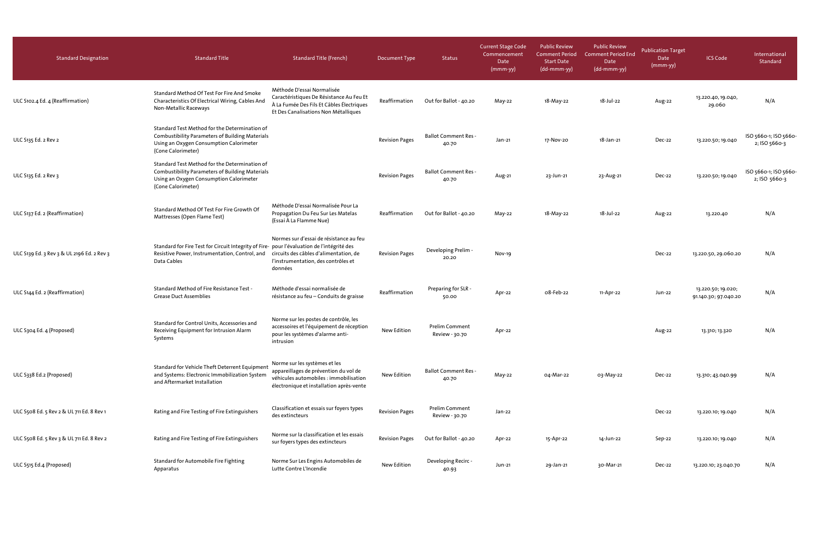| <b>Standard Designation</b>                | <b>Standard Title</b>                                                                                                                                                    | <b>Standard Title (French)</b>                                                                                                                               | <b>Document Type</b>  | Status                                  | <b>Current Stage Code</b><br>Commencement<br>Date<br>$(mmm-yy)$ | <b>Public Review</b><br><b>Comment Period</b><br><b>Start Date</b><br>(dd-mmm-yy) | <b>Public Review</b><br><b>Comment Period End</b><br>Date<br>(dd-mmm-yy) | <b>Publication Target</b><br>Date<br>(mmm-yy) | <b>ICS Code</b>                            | International<br>Standard              |
|--------------------------------------------|--------------------------------------------------------------------------------------------------------------------------------------------------------------------------|--------------------------------------------------------------------------------------------------------------------------------------------------------------|-----------------------|-----------------------------------------|-----------------------------------------------------------------|-----------------------------------------------------------------------------------|--------------------------------------------------------------------------|-----------------------------------------------|--------------------------------------------|----------------------------------------|
| ULC S102.4 Ed. 4 (Reaffirmation)           | Standard Method Of Test For Fire And Smoke<br>Characteristics Of Electrical Wiring, Cables And<br>Non-Metallic Raceways                                                  | Méthode D'essai Normalisée<br>Caractéristiques De Résistance Au Feu Et<br>À La Fumée Des Fils Et Câbles Électriques<br>Et Des Canalisations Non Métalliques  | Reaffirmation         | Out for Ballot - 40.20                  | May-22                                                          | 18-May-22                                                                         | 18-Jul-22                                                                | Aug-22                                        | 13.220.40, 19.040,<br>29.060               | N/A                                    |
| ULC S135 Ed. 2 Rev 2                       | Standard Test Method for the Determination of<br><b>Combustibility Parameters of Building Materials</b><br>Using an Oxygen Consumption Calorimeter<br>(Cone Calorimeter) |                                                                                                                                                              | <b>Revision Pages</b> | <b>Ballot Comment Res -</b><br>40.70    | Jan-21                                                          | 17-Nov-20                                                                         | 18-Jan-21                                                                | Dec-22                                        | 13.220.50; 19.040                          | ISO 5660-1; ISO 5660-<br>2; ISO 5660-3 |
| ULC 5135 Ed. 2 Rev 3                       | Standard Test Method for the Determination of<br><b>Combustibility Parameters of Building Materials</b><br>Using an Oxygen Consumption Calorimeter<br>(Cone Calorimeter) |                                                                                                                                                              | <b>Revision Pages</b> | <b>Ballot Comment Res -</b><br>40.70    | Aug-21                                                          | 23-Jun-21                                                                         | 23-Aug-21                                                                | Dec-22                                        | 13.220.50; 19.040                          | ISO 5660-1; ISO 5660-<br>2; ISO 5660-3 |
| ULC S137 Ed. 2 (Reaffirmation)             | Standard Method Of Test For Fire Growth Of<br>Mattresses (Open Flame Test)                                                                                               | Méthode D'essai Normalisée Pour La<br>Propagation Du Feu Sur Les Matelas<br>(Essai À La Flamme Nue)                                                          | Reaffirmation         | Out for Ballot - 40.20                  | $May-22$                                                        | 18-May-22                                                                         | 18-Jul-22                                                                | Aug-22                                        | 13.220.40                                  | N/A                                    |
| ULC S139 Ed. 3 Rev 3 & UL 2196 Ed. 2 Rev 3 | Standard for Fire Test for Circuit Integrity of Fire- pour l'évaluation de l'intégrité des<br>Resistive Power, Instrumentation, Control, and<br>Data Cables              | Normes sur d'essai de résistance au feu<br>circuits des câbles d'alimentation, de<br>l'instrumentation, des contrôles et<br>données                          | <b>Revision Pages</b> | Developing Prelim -<br>20.20            | Nov-19                                                          |                                                                                   |                                                                          | Dec-22                                        | 13.220.50, 29.060.20                       | N/A                                    |
| ULC S144 Ed. 2 (Reaffirmation)             | Standard Method of Fire Resistance Test -<br><b>Grease Duct Assemblies</b>                                                                                               | Méthode d'essai normalisée de<br>résistance au feu - Conduits de graisse                                                                                     | Reaffirmation         | Preparing for SLR -<br>50.00            | Apr-22                                                          | o8-Feb-22                                                                         | 11-Apr-22                                                                | Jun-22                                        | 13.220.50; 19.020;<br>91.140.30; 97.040.20 | N/A                                    |
| ULC S304 Ed. 4 (Proposed)                  | Standard for Control Units, Accessories and<br>Receiving Equipment for Intrusion Alarm<br>Systems                                                                        | Norme sur les postes de contrôle, les<br>accessoires et l'équipement de réception<br>pour les systèmes d'alarme anti-<br>intrusion                           | New Edition           | <b>Prelim Comment</b><br>Review - 30.70 | Apr-22                                                          |                                                                                   |                                                                          | Aug-22                                        | 13.310; 13.320                             | N/A                                    |
| ULC S338 Ed.2 (Proposed)                   | Standard for Vehicle Theft Deterrent Equipment<br>and Systems: Electronic Immobilization System<br>and Aftermarket Installation                                          | Norme sur les systèmes et les<br>appareillages de prévention du vol de<br>véhicules automobiles : immobilisation<br>électronique et installation après-vente | New Edition           | <b>Ballot Comment Res -</b><br>40.70    | May-22                                                          | 04-Mar-22                                                                         | 03-May-22                                                                | Dec-22                                        | 13.310; 43.040.99                          | N/A                                    |
| ULC S508 Ed. 5 Rev 2 & UL 711 Ed. 8 Rev 1  | Rating and Fire Testing of Fire Extinguishers                                                                                                                            | Classification et essais sur foyers types<br>des extincteurs                                                                                                 | <b>Revision Pages</b> | Prelim Comment<br>Review - 30.70        | Jan-22                                                          |                                                                                   |                                                                          | Dec-22                                        | 13.220.10; 19.040                          | N/A                                    |
| ULC S508 Ed. 5 Rev 3 & UL 711 Ed. 8 Rev 2  | Rating and Fire Testing of Fire Extinguishers                                                                                                                            | Norme sur la classification et les essais<br>sur foyers types des extincteurs                                                                                | <b>Revision Pages</b> | Out for Ballot - 40.20                  | Apr-22                                                          | 15-Apr-22                                                                         | 14-Jun-22                                                                | Sep-22                                        | 13.220.10; 19.040                          | N/A                                    |
| ULC S515 Ed.4 (Proposed)                   | Standard for Automobile Fire Fighting<br>Apparatus                                                                                                                       | Norme Sur Les Engins Automobiles de<br>Lutte Contre L'Incendie                                                                                               | New Edition           | Developing Recirc -<br>40.93            | Jun-21                                                          | 29-Jan-21                                                                         | 30-Mar-21                                                                | Dec-22                                        | 13.220.10; 23.040.70                       | N/A                                    |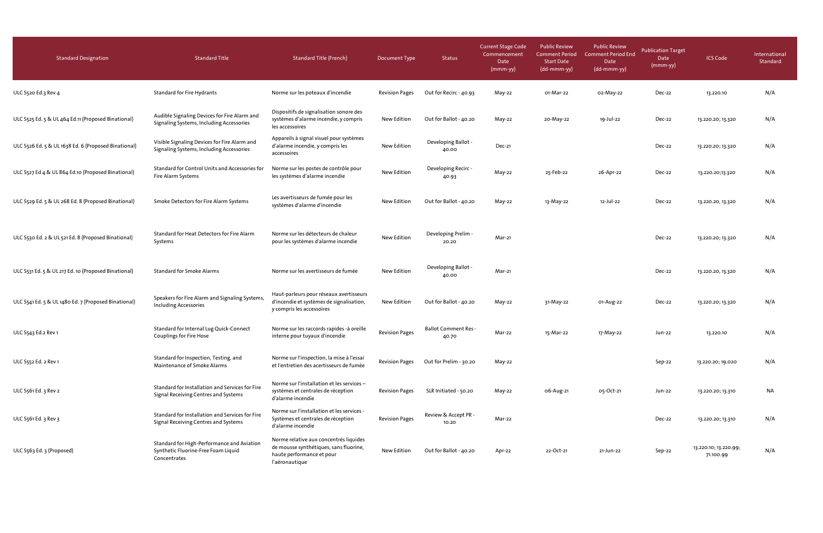| <b>Standard Designation</b>                          | <b>Standard Title</b>                                                                             | <b>Standard Title (French)</b>                                                                                                  | Document Type         | Status                               | <b>Current Stage Code</b><br>Commencement<br>Date<br>$(mmm-yy)$ | <b>Public Review</b><br><b>Comment Period</b><br><b>Start Date</b><br>(dd-mmm-yy) | <b>Public Review</b><br><b>Comment Period End</b><br>Date<br>(dd-mmm-yy) | <b>Publication Target</b><br>Date<br>(mmm-yy) | <b>ICS Code</b>                    | International<br>Standard |
|------------------------------------------------------|---------------------------------------------------------------------------------------------------|---------------------------------------------------------------------------------------------------------------------------------|-----------------------|--------------------------------------|-----------------------------------------------------------------|-----------------------------------------------------------------------------------|--------------------------------------------------------------------------|-----------------------------------------------|------------------------------------|---------------------------|
| ULC S520 Ed.3 Rev 4                                  | Standard for Fire Hydrants                                                                        | Norme sur les poteaux d'incendie                                                                                                | <b>Revision Pages</b> | Out for Recirc - 40.93               | May-22                                                          | 01-Mar-22                                                                         | 02-May-22                                                                | Dec-22                                        | 13.220.10                          | N/A                       |
| ULC S525 Ed. 5 & UL 464 Ed.11 (Proposed Binational)  | Audible Signaling Devices for Fire Alarm and<br>Signaling Systems, Including Accessories          | Dispositifs de signalisation sonore des<br>systèmes d'alarme incendie, y compris<br>les accessoires                             | New Edition           | Out for Ballot - 40.20               | May-22                                                          | 20-May-22                                                                         | 19-Jul-22                                                                | Dec-22                                        | 13.220.20; 13.320                  | N/A                       |
| ULC S526 Ed. 5 & UL 1638 Ed. 6 (Proposed Binational) | Visible Signaling Devices for Fire Alarm and<br>Signaling Systems, Including Accessories          | Appareils à signal visuel pour systèmes<br>d'alarme incendie, y compris les<br>accessoires                                      | New Edition           | Developing Ballot -<br>40.00         | <b>Dec-21</b>                                                   |                                                                                   |                                                                          | Dec-22                                        | 13.220.20; 13.320                  | N/A                       |
| ULC S527 Ed 4 & UL 864 Ed.10 (Proposed Binational)   | Standard for Control Units and Accessories for<br>Fire Alarm Systems                              | Norme sur les postes de contrôle pour<br>les systèmes d'alarme incendie                                                         | New Edition           | Developing Recirc -<br>40.93         | May-22                                                          | 25-Feb-22                                                                         | 26-Apr-22                                                                | Dec-22                                        | 13.220.20;13.320                   | N/A                       |
| ULC S529 Ed. 5 & UL 268 Ed. 8 (Proposed Binational)  | Smoke Detectors for Fire Alarm Systems                                                            | Les avertisseurs de fumée pour les<br>systèmes d'alarme d'incendie                                                              | New Edition           | Out for Ballot - 40.20               | $May-22$                                                        | 13-May-22                                                                         | 12-Jul-22                                                                | Dec-22                                        | 13.220.20, 13.320                  | N/A                       |
| ULC S530 Ed. 2 & UL 521 Ed. 8 (Proposed Binational)  | Standard for Heat Detectors for Fire Alarm<br>Systems                                             | Norme sur les détecteurs de chaleur<br>pour les systèmes d'alarme incendie                                                      | New Edition           | Developing Prelim -<br>20.20         | Mar-21                                                          |                                                                                   |                                                                          | Dec-22                                        | 13.220.20; 13.320                  | N/A                       |
| ULC S531 Ed. 5 & UL 217 Ed. 10 (Proposed Binational) | <b>Standard for Smoke Alarms</b>                                                                  | Norme sur les avertisseurs de fumée                                                                                             | New Edition           | Developing Ballot -<br>40.00         | Mar-21                                                          |                                                                                   |                                                                          | Dec-22                                        | 13.220.20, 13.320                  | N/A                       |
| ULC S541 Ed. 5 & UL 1480 Ed. 7 (Proposed Binational) | Speakers for Fire Alarm and Signaling Systems,<br><b>Including Accessories</b>                    | Haut-parleurs pour réseaux avertisseurs<br>d'incendie et systèmes de signalisation,<br>y compris les accessoires                | New Edition           | Out for Ballot - 40.20               | May-22                                                          | 31-May-22                                                                         | 01-Aug-22                                                                | Dec-22                                        | 13.220.20; 13.320                  | N/A                       |
| ULC S543 Ed.2 Rev 1                                  | Standard for Internal Lug Quick-Connect<br>Couplings for Fire Hose                                | Norme sur les raccords rapides -à oreille<br>interne pour tuyaux d'incendie                                                     | <b>Revision Pages</b> | <b>Ballot Comment Res -</b><br>40.70 | Mar-22                                                          | 15-Mar-22                                                                         | 17-May-22                                                                | Jun-22                                        | 13.220.10                          | N/A                       |
| ULC S552 Ed. 2 Rev 1                                 | Standard for Inspection, Testing, and<br>Maintenance of Smoke Alarms                              | Norme sur l'inspection, la mise à l'essai<br>et l'entretien des acertisseurs de fumée                                           | <b>Revision Pages</b> | Out for Prelim - 30.20               | May-22                                                          |                                                                                   |                                                                          | Sep-22                                        | 13.220.20; 19.020                  | N/A                       |
| ULC S561 Ed. 3 Rev 2                                 | Standard for Installation and Services for Fire<br>Signal Receiving Centres and Systems           | Norme sur l'installation et les services -<br>systèmes et centrales de réception<br>d'alarme incendie                           | <b>Revision Pages</b> | SLR Initiated - 50.20                | May-22                                                          | 06-Aug-21                                                                         | 05-Oct-21                                                                | Jun-22                                        | 13.220.20; 13.310                  | NA                        |
| ULC S561 Ed. 3 Rev 3                                 | Standard for Installation and Services for Fire<br>Signal Receiving Centres and Systems           | Norme sur l'installation et les services -<br>Systèmes et centrales de réception<br>d'alarme incendie                           | <b>Revision Pages</b> | Review & Accept PR -<br>10.20        | Mar-22                                                          |                                                                                   |                                                                          | Dec-22                                        | 13.220.20; 13.310                  | N/A                       |
| ULC S563 Ed. 3 (Proposed)                            | Standard for High-Performance and Aviation<br>Synthetic Fluorine-Free Foam Liquid<br>Concentrates | Norme relative aux concentrés liquides<br>de mousse synthétiques, sans fluorine,<br>haute performance et pour<br>l'aéronautique | New Edition           | Out for Ballot - 40.20               | Apr-22                                                          | 22-Oct-21                                                                         | 21-Jun-22                                                                | Sep-22                                        | 13.220.10; 13.220.99;<br>71.100.99 | N/A                       |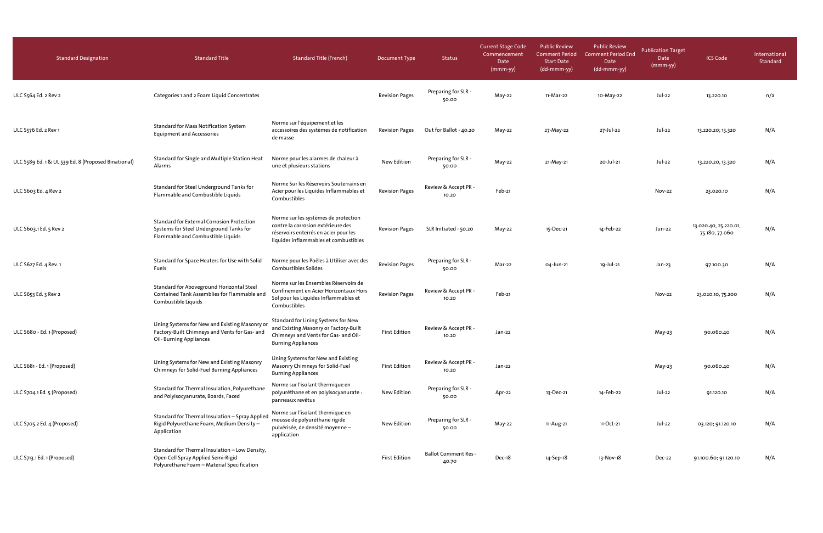| <b>Standard Designation</b>                         | <b>Standard Title</b>                                                                                                              | <b>Standard Title (French)</b>                                                                                                                               | Document Type         | <b>Status</b>                        | <b>Current Stage Code</b><br>Commencement<br>Date<br>$(mmm-yy)$ | <b>Public Review</b><br><b>Comment Period</b><br><b>Start Date</b><br>(dd-mmm-yy) | <b>Public Review</b><br><b>Comment Period End</b><br>Date<br>(dd-mmm-yy) | <b>Publication Target</b><br>Date<br>(mmm-yy) | <b>ICS Code</b>                         | International<br>Standard |
|-----------------------------------------------------|------------------------------------------------------------------------------------------------------------------------------------|--------------------------------------------------------------------------------------------------------------------------------------------------------------|-----------------------|--------------------------------------|-----------------------------------------------------------------|-----------------------------------------------------------------------------------|--------------------------------------------------------------------------|-----------------------------------------------|-----------------------------------------|---------------------------|
| ULC S564 Ed. 2 Rev 2                                | Categories 1 and 2 Foam Liquid Concentrates                                                                                        |                                                                                                                                                              | <b>Revision Pages</b> | Preparing for SLR -<br>50.00         | May-22                                                          | 11-Mar-22                                                                         | 10-May-22                                                                | Jul-22                                        | 13.220.10                               | n/a                       |
| ULC S576 Ed. 2 Rev 1                                | <b>Standard for Mass Notification System</b><br><b>Equipment and Accessories</b>                                                   | Norme sur l'équipement et les<br>accessoires des systèmes de notification<br>de masse                                                                        | <b>Revision Pages</b> | Out for Ballot - 40.20               | May-22                                                          | 27-May-22                                                                         | 27-Jul-22                                                                | Jul-22                                        | 13.220.20; 13.320                       | N/A                       |
| ULC S589 Ed. 1 & UL 539 Ed. 8 (Proposed Binational) | Standard for Single and Multiple Station Heat<br>Alarms                                                                            | Norme pour les alarmes de chaleur à<br>une et plusieurs stations                                                                                             | New Edition           | Preparing for SLR -<br>50.00         | May-22                                                          | 21-May-21                                                                         | 20-Jul-21                                                                | Jul-22                                        | 13.220.20, 13.320                       | N/A                       |
| ULC S603 Ed. 4 Rev 2                                | Standard for Steel Underground Tanks for<br>Flammable and Combustible Liquids                                                      | Norme Sur les Réservoirs Souterrains en<br>Acier pour les Liquides Inflammables et<br>Combustibles                                                           | <b>Revision Pages</b> | Review & Accept PR -<br>10.20        | Feb-21                                                          |                                                                                   |                                                                          | <b>Nov-22</b>                                 | 23.020.10                               | N/A                       |
| ULC S603.1 Ed. 5 Rev 2                              | <b>Standard for External Corrosion Protection</b><br>Systems for Steel Underground Tanks for<br>Flammable and Combustible Liquids  | Norme sur les systèmes de protection<br>contre la corrosion extérieure des<br>réservoirs enterrés en acier pour les<br>liquides inflammables et combustibles | <b>Revision Pages</b> | SLR Initiated - 50.20                | May-22                                                          | 15-Dec-21                                                                         | 14-Feb-22                                                                | Jun-22                                        | 13.020.40, 25.220.01,<br>75.180, 77.060 | N/A                       |
| ULC S627 Ed. 4 Rev. 1                               | Standard for Space Heaters for Use with Solid<br>Fuels                                                                             | Norme pour les Poêles à Utiliser avec des<br>Combustibles Solides                                                                                            | <b>Revision Pages</b> | Preparing for SLR -<br>50.00         | Mar-22                                                          | 04-Jun-21                                                                         | 19-Jul-21                                                                | Jan-23                                        | 97.100.30                               | N/A                       |
| ULC S653 Ed. 3 Rev 2                                | Standard for Aboveground Horizontal Steel<br>Contained Tank Assemblies for Flammable and<br>Combustible Liquids                    | Norme sur les Ensembles Réservoirs de<br>Confinement en Acier Horizontaux Hors<br>Sol pour les Liquides Inflammables et<br>Combustibles                      | <b>Revision Pages</b> | Review & Accept PR -<br>10.20        | Feb-21                                                          |                                                                                   |                                                                          | <b>Nov-22</b>                                 | 23.020.10, 75.200                       | N/A                       |
| ULC S680 - Ed. 1 (Proposed)                         | Lining Systems for New and Existing Masonry or<br>Factory-Built Chimneys and Vents for Gas- and<br>Oil-Burning Appliances          | Standard for Lining Systems for New<br>and Existing Masonry or Factory-Built<br>Chimneys and Vents for Gas- and Oil-<br><b>Burning Appliances</b>            | <b>First Edition</b>  | Review & Accept PR -<br>10.20        | Jan-22                                                          |                                                                                   |                                                                          | May-23                                        | 90.060.40                               | N/A                       |
| ULC S681 - Ed. 1 (Proposed)                         | Lining Systems for New and Existing Masonry<br>Chimneys for Solid-Fuel Burning Appliances                                          | Lining Systems for New and Existing<br>Masonry Chimneys for Solid-Fuel<br><b>Burning Appliances</b>                                                          | <b>First Edition</b>  | Review & Accept PR -<br>10.20        | Jan-22                                                          |                                                                                   |                                                                          | May-23                                        | 90.060.40                               | N/A                       |
| ULC S704.1 Ed. 5 (Proposed)                         | Standard for Thermal Insulation, Polyurethane<br>and Polyisocyanurate, Boards, Faced                                               | Norme sur l'isolant thermique en<br>polyuréthane et en polyisocyanurate :<br>panneaux revêtus                                                                | New Edition           | Preparing for SLR -<br>50.00         | Apr-22                                                          | 13-Dec-21                                                                         | 14-Feb-22                                                                | Jul-22                                        | 91.120.10                               | N/A                       |
| ULC S705.2 Ed. 4 (Proposed)                         | Standard for Thermal Insulation - Spray Applied<br>Rigid Polyurethane Foam, Medium Density-<br>Application                         | Norme sur l'isolant thermique en<br>mousse de polyuréthane rigide<br>pulvérisée, de densité moyenne -<br>application                                         | New Edition           | Preparing for SLR -<br>50.00         | May-22                                                          | 11-Aug-21                                                                         | 11-Oct-21                                                                | Jul-22                                        | 03.120; 91.120.10                       | N/A                       |
| ULC S713.1 Ed. 1 (Proposed)                         | Standard for Thermal Insulation - Low Density,<br>Open Cell Spray Applied Semi-Rigid<br>Polyurethane Foam - Material Specification |                                                                                                                                                              | <b>First Edition</b>  | <b>Ballot Comment Res -</b><br>40.70 | Dec-18                                                          | 14-Sep-18                                                                         | 13-Nov-18                                                                | Dec-22                                        | 91.100.60; 91.120.10                    | N/A                       |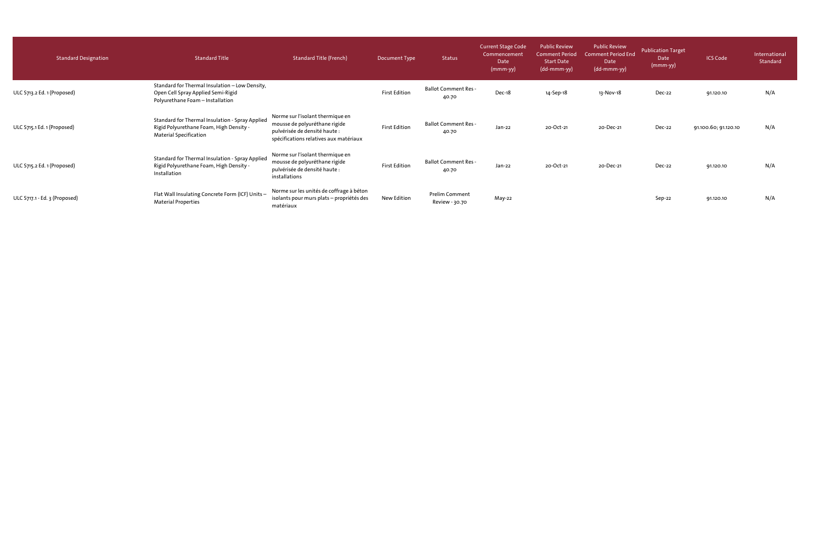| <b>Standard Designation</b>   | <b>Standard Title</b>                                                                                                       | <b>Standard Title (French)</b>                                                                                                               | Document Type        | Status                                  | <b>Current Stage Code</b><br>Commencement<br>Date<br>$(mmm-yy)$ | <b>Public Review</b><br>Comment Period<br><b>Start Date</b><br>(dd-mmm-yy) | <b>Public Review</b><br><b>Comment Period End</b><br>Date<br>(dd-mmm-yy) | <b>Publication Target</b><br>Date<br>(mmm-yy) | <b>ICS Code</b>      | International<br>Standard |
|-------------------------------|-----------------------------------------------------------------------------------------------------------------------------|----------------------------------------------------------------------------------------------------------------------------------------------|----------------------|-----------------------------------------|-----------------------------------------------------------------|----------------------------------------------------------------------------|--------------------------------------------------------------------------|-----------------------------------------------|----------------------|---------------------------|
| ULC S713.2 Ed. 1 (Proposed)   | Standard for Thermal Insulation - Low Density,<br>Open Cell Spray Applied Semi-Rigid<br>Polyurethane Foam - Installation    |                                                                                                                                              | <b>First Edition</b> | <b>Ballot Comment Res -</b><br>40.70    | Dec-18                                                          | 14-Sep-18                                                                  | 13-Nov-18                                                                | Dec-22                                        | 91.120.10            | N/A                       |
| ULC S715.1 Ed. 1 (Proposed)   | Standard for Thermal Insulation - Spray Applied<br>Rigid Polyurethane Foam, High Density -<br><b>Material Specification</b> | Norme sur l'isolant thermique en<br>mousse de polyuréthane rigide<br>pulvérisée de densité haute :<br>spécifications relatives aux matériaux | <b>First Edition</b> | <b>Ballot Comment Res -</b><br>40.70    | Jan-22                                                          | 20-Oct-21                                                                  | 20-Dec-21                                                                | Dec-22                                        | 91.100.60; 91.120.10 | N/A                       |
| ULC S715.2 Ed. 1 (Proposed)   | Standard for Thermal Insulation - Spray Applied<br>Rigid Polyurethane Foam, High Density -<br>Installation                  | Norme sur l'isolant thermique en<br>mousse de polyuréthane rigide<br>pulvérisée de densité haute :<br>installations                          | <b>First Edition</b> | <b>Ballot Comment Res -</b><br>40.70    | Jan-22                                                          | 20-Oct-21                                                                  | 20-Dec-21                                                                | Dec-22                                        | 91.120.10            | N/A                       |
| ULC 5717.1 - Ed. 3 (Proposed) | Flat Wall Insulating Concrete Form (ICF) Units -<br><b>Material Properties</b>                                              | Norme sur les unités de coffrage à béton<br>isolants pour murs plats – propriétés des<br>matériaux                                           | New Edition          | <b>Prelim Comment</b><br>Review - 30.70 | May-22                                                          |                                                                            |                                                                          | Sep-22                                        | 91.120.10            | N/A                       |